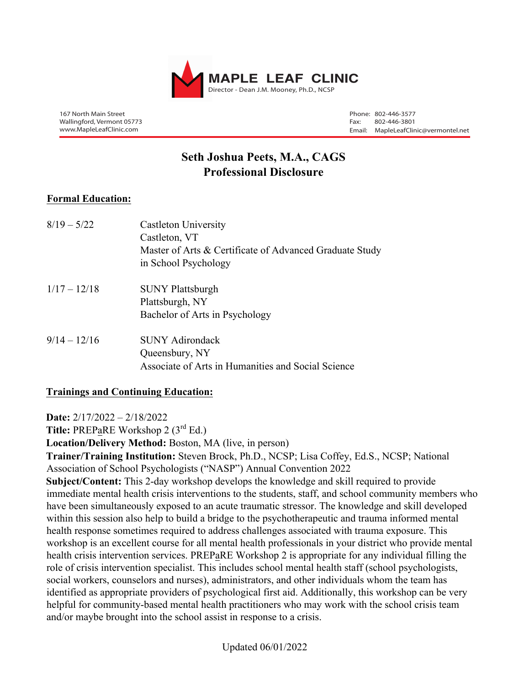

167 North Main Street Wallingford, Vermont 05773 www.MapleLeafClinic.com

Phone: 802-446-3577 Fax: 802-446-3801 Email: MapleLeafClinic@vermontel.net

# **Seth Joshua Peets, M.A., CAGS Professional Disclosure**

# **Formal Education:**

| $8/19 - 5/22$  | <b>Castleton University</b><br>Castleton, VT<br>Master of Arts & Certificate of Advanced Graduate Study<br>in School Psychology |
|----------------|---------------------------------------------------------------------------------------------------------------------------------|
| $1/17 - 12/18$ | <b>SUNY Plattsburgh</b><br>Plattsburgh, NY<br>Bachelor of Arts in Psychology                                                    |
| $9/14 - 12/16$ | <b>SUNY Adirondack</b><br>Queensbury, NY<br>Associate of Arts in Humanities and Social Science                                  |

### **Trainings and Continuing Education:**

**Date:** 2/17/2022 – 2/18/2022

Title: PREPaRE Workshop 2 (3<sup>rd</sup> Ed.)

**Location/Delivery Method:** Boston, MA (live, in person)

**Trainer/Training Institution:** Steven Brock, Ph.D., NCSP; Lisa Coffey, Ed.S., NCSP; National Association of School Psychologists ("NASP") Annual Convention 2022

**Subject/Content:** This 2-day workshop develops the knowledge and skill required to provide immediate mental health crisis interventions to the students, staff, and school community members who have been simultaneously exposed to an acute traumatic stressor. The knowledge and skill developed within this session also help to build a bridge to the psychotherapeutic and trauma informed mental health response sometimes required to address challenges associated with trauma exposure. This workshop is an excellent course for all mental health professionals in your district who provide mental health crisis intervention services. PREPaRE Workshop 2 is appropriate for any individual filling the role of crisis intervention specialist. This includes school mental health staff (school psychologists, social workers, counselors and nurses), administrators, and other individuals whom the team has identified as appropriate providers of psychological first aid. Additionally, this workshop can be very helpful for community-based mental health practitioners who may work with the school crisis team and/or maybe brought into the school assist in response to a crisis.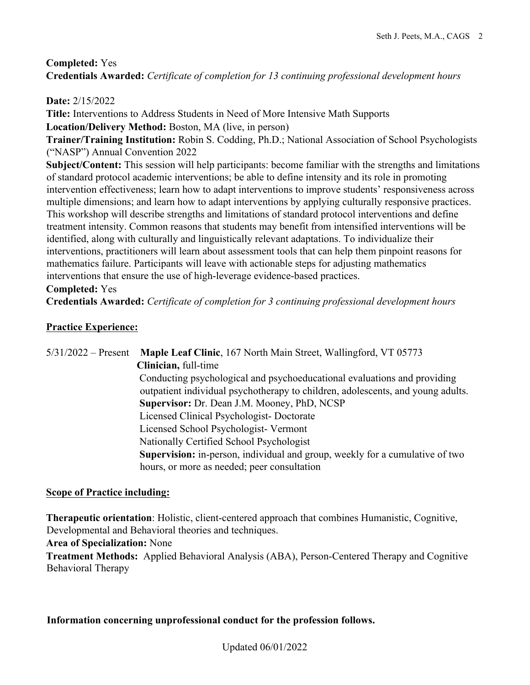# **Completed:** Yes

**Credentials Awarded:** *Certificate of completion for 13 continuing professional development hours*

# **Date:** 2/15/2022

**Title:** Interventions to Address Students in Need of More Intensive Math Supports **Location/Delivery Method:** Boston, MA (live, in person)

**Trainer/Training Institution:** Robin S. Codding, Ph.D.; National Association of School Psychologists ("NASP") Annual Convention 2022

**Subject/Content:** This session will help participants: become familiar with the strengths and limitations of standard protocol academic interventions; be able to define intensity and its role in promoting intervention effectiveness; learn how to adapt interventions to improve students' responsiveness across multiple dimensions; and learn how to adapt interventions by applying culturally responsive practices. This workshop will describe strengths and limitations of standard protocol interventions and define treatment intensity. Common reasons that students may benefit from intensified interventions will be identified, along with culturally and linguistically relevant adaptations. To individualize their interventions, practitioners will learn about assessment tools that can help them pinpoint reasons for mathematics failure. Participants will leave with actionable steps for adjusting mathematics interventions that ensure the use of high-leverage evidence-based practices.

# **Completed:** Yes

**Credentials Awarded:** *Certificate of completion for 3 continuing professional development hours*

# **Practice Experience:**

5/31/2022 – Present **Maple Leaf Clinic**, 167 North Main Street, Wallingford, VT 05773 **Clinician,** full-time Conducting psychological and psychoeducational evaluations and providing outpatient individual psychotherapy to children, adolescents, and young adults. **Supervisor:** Dr. Dean J.M. Mooney, PhD, NCSP Licensed Clinical Psychologist- Doctorate Licensed School Psychologist- Vermont Nationally Certified School Psychologist **Supervision:** in-person, individual and group, weekly for a cumulative of two hours, or more as needed; peer consultation

### **Scope of Practice including:**

**Therapeutic orientation**: Holistic, client-centered approach that combines Humanistic, Cognitive, Developmental and Behavioral theories and techniques.

**Area of Specialization:** None

**Treatment Methods:** Applied Behavioral Analysis (ABA), Person-Centered Therapy and Cognitive Behavioral Therapy

### **Information concerning unprofessional conduct for the profession follows.**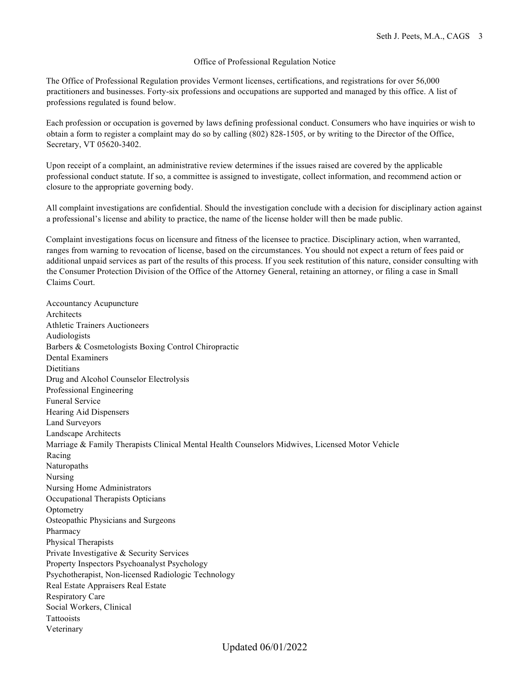#### Office of Professional Regulation Notice

The Office of Professional Regulation provides Vermont licenses, certifications, and registrations for over 56,000 practitioners and businesses. Forty-six professions and occupations are supported and managed by this office. A list of professions regulated is found below.

Each profession or occupation is governed by laws defining professional conduct. Consumers who have inquiries or wish to obtain a form to register a complaint may do so by calling (802) 828-1505, or by writing to the Director of the Office, Secretary, VT 05620-3402.

Upon receipt of a complaint, an administrative review determines if the issues raised are covered by the applicable professional conduct statute. If so, a committee is assigned to investigate, collect information, and recommend action or closure to the appropriate governing body.

All complaint investigations are confidential. Should the investigation conclude with a decision for disciplinary action against a professional's license and ability to practice, the name of the license holder will then be made public.

Complaint investigations focus on licensure and fitness of the licensee to practice. Disciplinary action, when warranted, ranges from warning to revocation of license, based on the circumstances. You should not expect a return of fees paid or additional unpaid services as part of the results of this process. If you seek restitution of this nature, consider consulting with the Consumer Protection Division of the Office of the Attorney General, retaining an attorney, or filing a case in Small Claims Court.

Accountancy Acupuncture Architects Athletic Trainers Auctioneers Audiologists Barbers & Cosmetologists Boxing Control Chiropractic Dental Examiners **Dietitians** Drug and Alcohol Counselor Electrolysis Professional Engineering Funeral Service Hearing Aid Dispensers Land Surveyors Landscape Architects Marriage & Family Therapists Clinical Mental Health Counselors Midwives, Licensed Motor Vehicle Racing Naturopaths Nursing Nursing Home Administrators Occupational Therapists Opticians **Optometry** Osteopathic Physicians and Surgeons Pharmacy Physical Therapists Private Investigative & Security Services Property Inspectors Psychoanalyst Psychology Psychotherapist, Non-licensed Radiologic Technology Real Estate Appraisers Real Estate Respiratory Care Social Workers, Clinical Tattooists Veterinary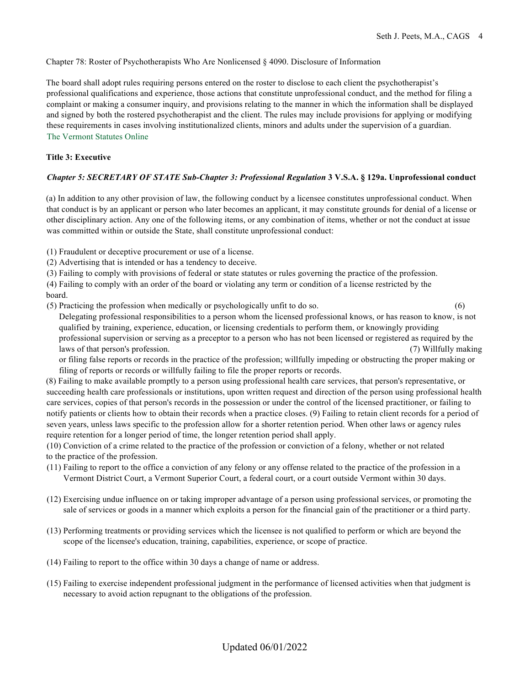#### Chapter 78: Roster of Psychotherapists Who Are Nonlicensed § 4090. Disclosure of Information

The board shall adopt rules requiring persons entered on the roster to disclose to each client the psychotherapist's professional qualifications and experience, those actions that constitute unprofessional conduct, and the method for filing a complaint or making a consumer inquiry, and provisions relating to the manner in which the information shall be displayed and signed by both the rostered psychotherapist and the client. The rules may include provisions for applying or modifying these requirements in cases involving institutionalized clients, minors and adults under the supervision of a guardian. The Vermont Statutes Online

#### **Title 3: Executive**

#### *Chapter 5: SECRETARY OF STATE Sub-Chapter 3: Professional Regulation* **3 V.S.A. § 129a. Unprofessional conduct**

(a) In addition to any other provision of law, the following conduct by a licensee constitutes unprofessional conduct. When that conduct is by an applicant or person who later becomes an applicant, it may constitute grounds for denial of a license or other disciplinary action. Any one of the following items, or any combination of items, whether or not the conduct at issue was committed within or outside the State, shall constitute unprofessional conduct:

(1) Fraudulent or deceptive procurement or use of a license.

(2) Advertising that is intended or has a tendency to deceive.

(3) Failing to comply with provisions of federal or state statutes or rules governing the practice of the profession.

(4) Failing to comply with an order of the board or violating any term or condition of a license restricted by the board.

(5) Practicing the profession when medically or psychologically unfit to do so. (6)

Delegating professional responsibilities to a person whom the licensed professional knows, or has reason to know, is not qualified by training, experience, education, or licensing credentials to perform them, or knowingly providing professional supervision or serving as a preceptor to a person who has not been licensed or registered as required by the laws of that person's profession. (7) Willfully making

or filing false reports or records in the practice of the profession; willfully impeding or obstructing the proper making or filing of reports or records or willfully failing to file the proper reports or records.

(8) Failing to make available promptly to a person using professional health care services, that person's representative, or succeeding health care professionals or institutions, upon written request and direction of the person using professional health care services, copies of that person's records in the possession or under the control of the licensed practitioner, or failing to notify patients or clients how to obtain their records when a practice closes. (9) Failing to retain client records for a period of seven years, unless laws specific to the profession allow for a shorter retention period. When other laws or agency rules require retention for a longer period of time, the longer retention period shall apply.

(10) Conviction of a crime related to the practice of the profession or conviction of a felony, whether or not related to the practice of the profession.

- (11) Failing to report to the office a conviction of any felony or any offense related to the practice of the profession in a Vermont District Court, a Vermont Superior Court, a federal court, or a court outside Vermont within 30 days.
- (12) Exercising undue influence on or taking improper advantage of a person using professional services, or promoting the sale of services or goods in a manner which exploits a person for the financial gain of the practitioner or a third party.
- (13) Performing treatments or providing services which the licensee is not qualified to perform or which are beyond the scope of the licensee's education, training, capabilities, experience, or scope of practice.
- (14) Failing to report to the office within 30 days a change of name or address.
- (15) Failing to exercise independent professional judgment in the performance of licensed activities when that judgment is necessary to avoid action repugnant to the obligations of the profession.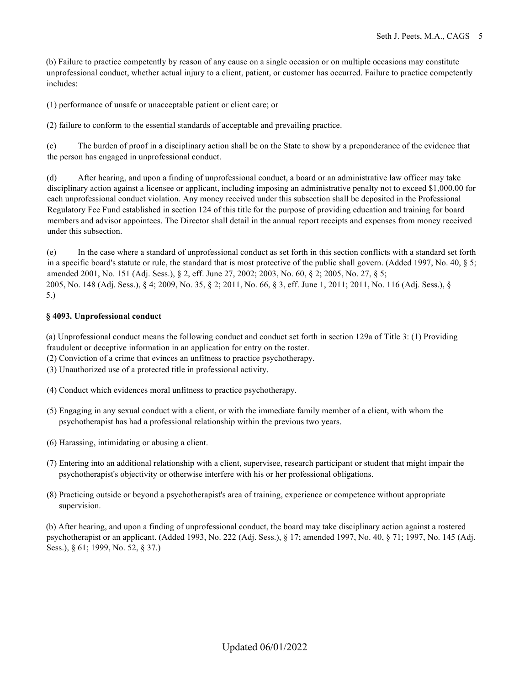(b) Failure to practice competently by reason of any cause on a single occasion or on multiple occasions may constitute unprofessional conduct, whether actual injury to a client, patient, or customer has occurred. Failure to practice competently includes:

(1) performance of unsafe or unacceptable patient or client care; or

(2) failure to conform to the essential standards of acceptable and prevailing practice.

(c) The burden of proof in a disciplinary action shall be on the State to show by a preponderance of the evidence that the person has engaged in unprofessional conduct.

(d) After hearing, and upon a finding of unprofessional conduct, a board or an administrative law officer may take disciplinary action against a licensee or applicant, including imposing an administrative penalty not to exceed \$1,000.00 for each unprofessional conduct violation. Any money received under this subsection shall be deposited in the Professional Regulatory Fee Fund established in section 124 of this title for the purpose of providing education and training for board members and advisor appointees. The Director shall detail in the annual report receipts and expenses from money received under this subsection.

(e) In the case where a standard of unprofessional conduct as set forth in this section conflicts with a standard set forth in a specific board's statute or rule, the standard that is most protective of the public shall govern. (Added 1997, No. 40, § 5; amended 2001, No. 151 (Adj. Sess.), § 2, eff. June 27, 2002; 2003, No. 60, § 2; 2005, No. 27, § 5; 2005, No. 148 (Adj. Sess.), § 4; 2009, No. 35, § 2; 2011, No. 66, § 3, eff. June 1, 2011; 2011, No. 116 (Adj. Sess.), § 5.)

### **§ 4093. Unprofessional conduct**

(a) Unprofessional conduct means the following conduct and conduct set forth in section 129a of Title 3: (1) Providing fraudulent or deceptive information in an application for entry on the roster.

- (2) Conviction of a crime that evinces an unfitness to practice psychotherapy.
- (3) Unauthorized use of a protected title in professional activity.
- (4) Conduct which evidences moral unfitness to practice psychotherapy.
- (5) Engaging in any sexual conduct with a client, or with the immediate family member of a client, with whom the psychotherapist has had a professional relationship within the previous two years.
- (6) Harassing, intimidating or abusing a client.
- (7) Entering into an additional relationship with a client, supervisee, research participant or student that might impair the psychotherapist's objectivity or otherwise interfere with his or her professional obligations.
- (8) Practicing outside or beyond a psychotherapist's area of training, experience or competence without appropriate supervision.

(b) After hearing, and upon a finding of unprofessional conduct, the board may take disciplinary action against a rostered psychotherapist or an applicant. (Added 1993, No. 222 (Adj. Sess.), § 17; amended 1997, No. 40, § 71; 1997, No. 145 (Adj. Sess.), § 61; 1999, No. 52, § 37.)